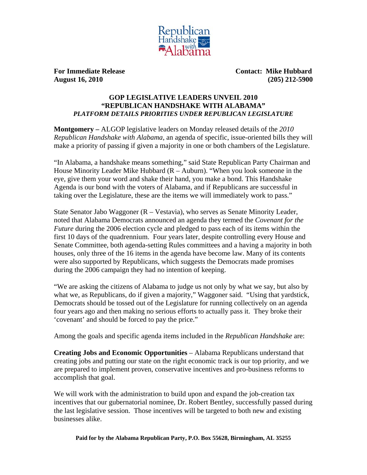

**For Immediate Release Contact: Mike Hubbard August 16, 2010 (205) 212-5900** 

## **GOP LEGISLATIVE LEADERS UNVEIL 2010 "REPUBLICAN HANDSHAKE WITH ALABAMA"**  *PLATFORM DETAILS PRIORITIES UNDER REPUBLICAN LEGISLATURE*

**Montgomery –** ALGOP legislative leaders on Monday released details of the *2010 Republican Handshake with Alabama*, an agenda of specific, issue-oriented bills they will make a priority of passing if given a majority in one or both chambers of the Legislature.

"In Alabama, a handshake means something," said State Republican Party Chairman and House Minority Leader Mike Hubbard  $(R - \text{Auburn})$ . "When you look someone in the eye, give them your word and shake their hand, you make a bond. This Handshake Agenda is our bond with the voters of Alabama, and if Republicans are successful in taking over the Legislature, these are the items we will immediately work to pass."

State Senator Jabo Waggoner (R – Vestavia), who serves as Senate Minority Leader, noted that Alabama Democrats announced an agenda they termed the *Covenant for the Future* during the 2006 election cycle and pledged to pass each of its items within the first 10 days of the quadrennium. Four years later, despite controlling every House and Senate Committee, both agenda-setting Rules committees and a having a majority in both houses, only three of the 16 items in the agenda have become law. Many of its contents were also supported by Republicans, which suggests the Democrats made promises during the 2006 campaign they had no intention of keeping.

"We are asking the citizens of Alabama to judge us not only by what we say, but also by what we, as Republicans, do if given a majority," Waggoner said. "Using that yardstick, Democrats should be tossed out of the Legislature for running collectively on an agenda four years ago and then making no serious efforts to actually pass it. They broke their 'covenant' and should be forced to pay the price."

Among the goals and specific agenda items included in the *Republican Handshake* are:

**Creating Jobs and Economic Opportunities** – Alabama Republicans understand that creating jobs and putting our state on the right economic track is our top priority, and we are prepared to implement proven, conservative incentives and pro-business reforms to accomplish that goal.

We will work with the administration to build upon and expand the job-creation tax incentives that our gubernatorial nominee, Dr. Robert Bentley, successfully passed during the last legislative session. Those incentives will be targeted to both new and existing businesses alike.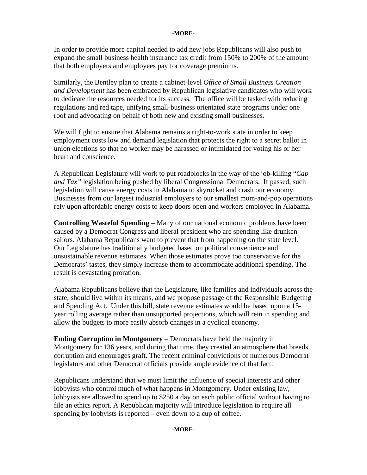## **-MORE-**

In order to provide more capital needed to add new jobs Republicans will also push to expand the small business health insurance tax credit from 150% to 200% of the amount that both employers and employees pay for coverage premiums.

Similarly, the Bentley plan to create a cabinet-level *Office of Small Business Creation and Development* has been embraced by Republican legislative candidates who will work to dedicate the resources needed for its success. The office will be tasked with reducing regulations and red tape, unifying small-business orientated state programs under one roof and advocating on behalf of both new and existing small businesses.

We will fight to ensure that Alabama remains a right-to-work state in order to keep employment costs low and demand legislation that protects the right to a secret ballot in union elections so that no worker may be harassed or intimidated for voting his or her heart and conscience.

A Republican Legislature will work to put roadblocks in the way of the job-killing "*Cap and Tax"* legislation being pushed by liberal Congressional Democrats. If passed, such legislation will cause energy costs in Alabama to skyrocket and crash our economy. Businesses from our largest industrial employers to our smallest mom-and-pop operations rely upon affordable energy costs to keep doors open and workers employed in Alabama.

**Controlling Wasteful Spending** – Many of our national economic problems have been caused by a Democrat Congress and liberal president who are spending like drunken sailors. Alabama Republicans want to prevent that from happening on the state level. Our Legislature has traditionally budgeted based on political convenience and unsustainable revenue estimates. When those estimates prove too conservative for the Democrats' tastes, they simply increase them to accommodate additional spending. The result is devastating proration.

Alabama Republicans believe that the Legislature, like families and individuals across the state, should live within its means, and we propose passage of the Responsible Budgeting and Spending Act. Under this bill, state revenue estimates would be based upon a 15 year rolling average rather than unsupported projections, which will rein in spending and allow the budgets to more easily absorb changes in a cyclical economy.

**Ending Corruption in Montgomery** – Democrats have held the majority in Montgomery for 136 years, and during that time, they created an atmosphere that breeds corruption and encourages graft. The recent criminal convictions of numerous Democrat legislators and other Democrat officials provide ample evidence of that fact.

Republicans understand that we must limit the influence of special interests and other lobbyists who control much of what happens in Montgomery. Under existing law, lobbyists are allowed to spend up to \$250 a day on each public official without having to file an ethics report. A Republican majority will introduce legislation to require all spending by lobbyists is reported – even down to a cup of coffee.